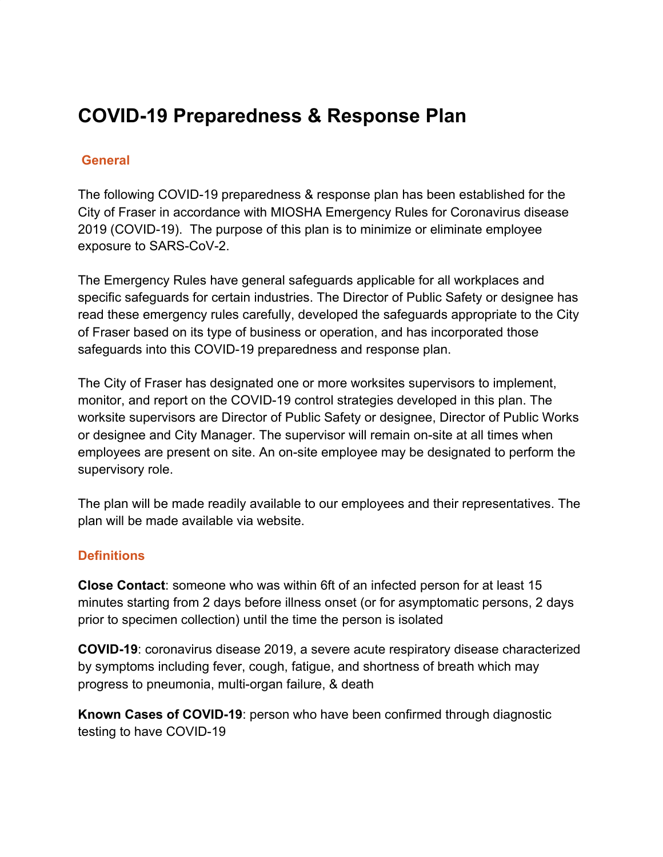# **COVID-19 Preparedness & Response Plan**

# **General**

The following COVID-19 preparedness & response plan has been established for the City of Fraser in accordance with MIOSHA Emergency Rules for Coronavirus disease 2019 (COVID-19). The purpose of this plan is to minimize or eliminate employee exposure to SARS-CoV-2.

The Emergency Rules have general safeguards applicable for all workplaces and specific safeguards for certain industries. The Director of Public Safety or designee has read these emergency rules carefully, developed the safeguards appropriate to the City of Fraser based on its type of business or operation, and has incorporated those safeguards into this COVID-19 preparedness and response plan.

The City of Fraser has designated one or more worksites supervisors to implement, monitor, and report on the COVID-19 control strategies developed in this plan. The worksite supervisors are Director of Public Safety or designee, Director of Public Works or designee and City Manager. The supervisor will remain on-site at all times when employees are present on site. An on-site employee may be designated to perform the supervisory role.

The plan will be made readily available to our employees and their representatives. The plan will be made available via website.

#### **Definitions**

**Close Contact**: someone who was within 6ft of an infected person for at least 15 minutes starting from 2 days before illness onset (or for asymptomatic persons, 2 days prior to specimen collection) until the time the person is isolated

**COVID-19**: coronavirus disease 2019, a severe acute respiratory disease characterized by symptoms including fever, cough, fatigue, and shortness of breath which may progress to pneumonia, multi-organ failure, & death

**Known Cases of COVID-19**: person who have been confirmed through diagnostic testing to have COVID-19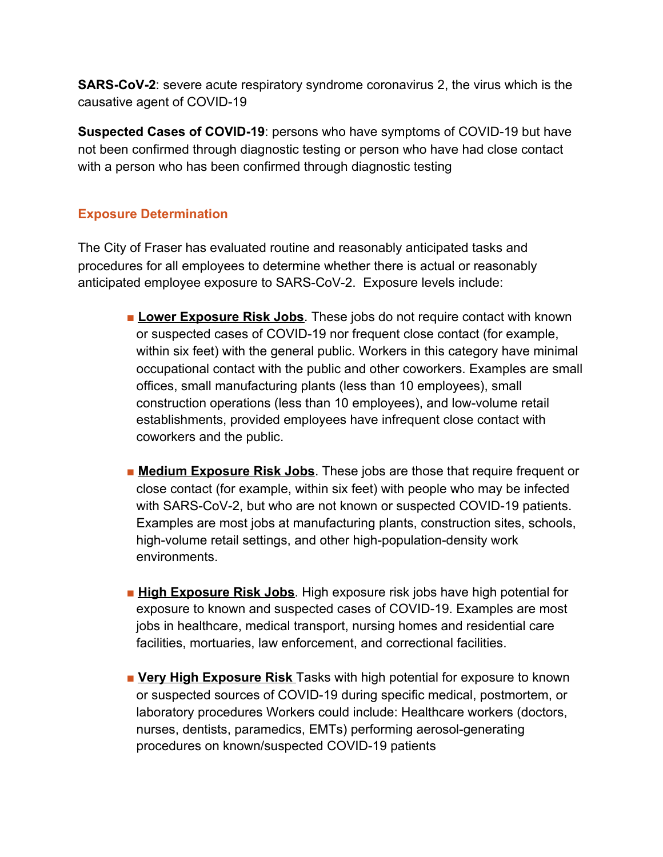**SARS-CoV-2**: severe acute respiratory syndrome coronavirus 2, the virus which is the causative agent of COVID-19

**Suspected Cases of COVID-19**: persons who have symptoms of COVID-19 but have not been confirmed through diagnostic testing or person who have had close contact with a person who has been confirmed through diagnostic testing

# **Exposure Determination**

The City of Fraser has evaluated routine and reasonably anticipated tasks and procedures for all employees to determine whether there is actual or reasonably anticipated employee exposure to SARS-CoV-2. Exposure levels include:

- **Lower Exposure Risk Jobs**. These jobs do not require contact with known or suspected cases of COVID-19 nor frequent close contact (for example, within six feet) with the general public. Workers in this category have minimal occupational contact with the public and other coworkers. Examples are small offices, small manufacturing plants (less than 10 employees), small construction operations (less than 10 employees), and low-volume retail establishments, provided employees have infrequent close contact with coworkers and the public.
- **Exposure Risk Jobs**. These jobs are those that require frequent or close contact (for example, within six feet) with people who may be infected with SARS-CoV-2, but who are not known or suspected COVID-19 patients. Examples are most jobs at manufacturing plants, construction sites, schools, high-volume retail settings, and other high-population-density work environments.
- **High Exposure Risk Jobs**. High exposure risk jobs have high potential for exposure to known and suspected cases of COVID-19. Examples are most jobs in healthcare, medical transport, nursing homes and residential care facilities, mortuaries, law enforcement, and correctional facilities.
- **Very High Exposure Risk** Tasks with high potential for exposure to known or suspected sources of COVID-19 during specific medical, postmortem, or laboratory procedures Workers could include: Healthcare workers (doctors, nurses, dentists, paramedics, EMTs) performing aerosol-generating procedures on known/suspected COVID-19 patients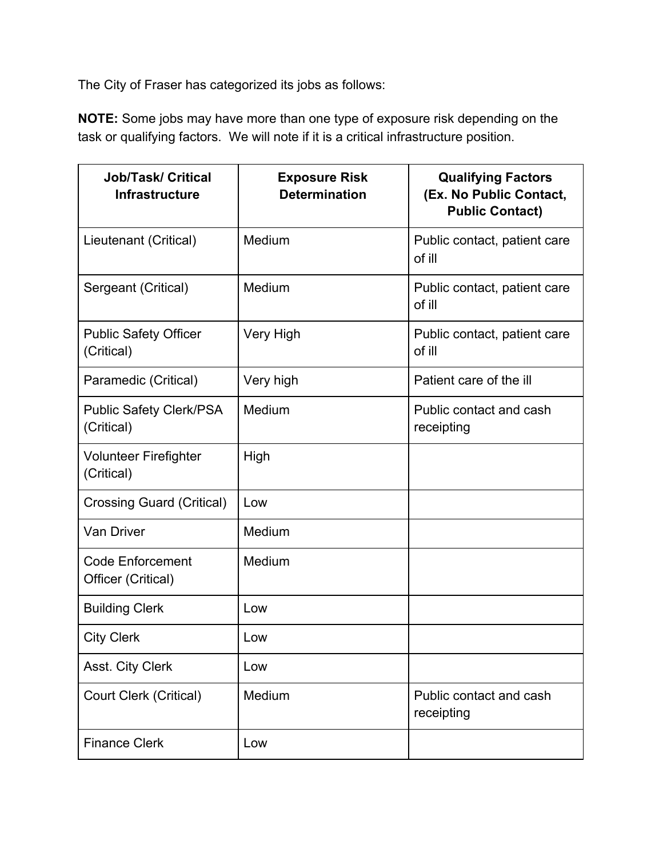The City of Fraser has categorized its jobs as follows:

**NOTE:** Some jobs may have more than one type of exposure risk depending on the task or qualifying factors. We will note if it is a critical infrastructure position.

| <b>Job/Task/ Critical</b><br><b>Infrastructure</b> | <b>Exposure Risk</b><br><b>Determination</b> | <b>Qualifying Factors</b><br>(Ex. No Public Contact,<br><b>Public Contact)</b> |
|----------------------------------------------------|----------------------------------------------|--------------------------------------------------------------------------------|
| Lieutenant (Critical)                              | Medium                                       | Public contact, patient care<br>of ill                                         |
| Sergeant (Critical)                                | Medium                                       | Public contact, patient care<br>of ill                                         |
| <b>Public Safety Officer</b><br>(Critical)         | Very High                                    | Public contact, patient care<br>of ill                                         |
| Paramedic (Critical)                               | Very high                                    | Patient care of the ill                                                        |
| <b>Public Safety Clerk/PSA</b><br>(Critical)       | Medium                                       | Public contact and cash<br>receipting                                          |
| <b>Volunteer Firefighter</b><br>(Critical)         | High                                         |                                                                                |
| <b>Crossing Guard (Critical)</b>                   | Low                                          |                                                                                |
| Van Driver                                         | Medium                                       |                                                                                |
| <b>Code Enforcement</b><br>Officer (Critical)      | Medium                                       |                                                                                |
| <b>Building Clerk</b>                              | Low                                          |                                                                                |
| <b>City Clerk</b>                                  | Low                                          |                                                                                |
| Asst. City Clerk                                   | Low                                          |                                                                                |
| <b>Court Clerk (Critical)</b>                      | Medium                                       | Public contact and cash<br>receipting                                          |
| <b>Finance Clerk</b>                               | Low                                          |                                                                                |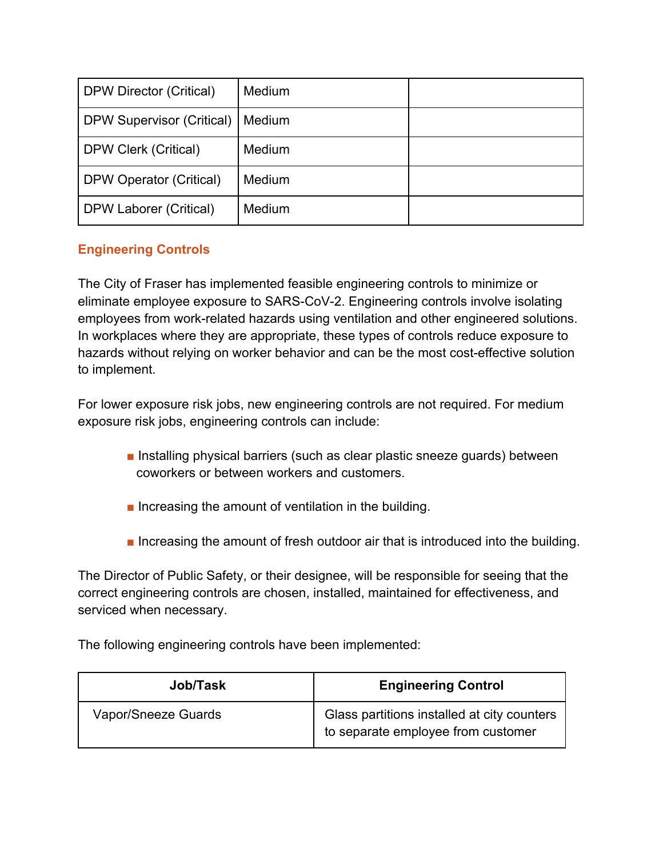| DPW Director (Critical)          | <b>Medium</b> |  |
|----------------------------------|---------------|--|
| <b>DPW Supervisor (Critical)</b> | Medium        |  |
| <b>DPW Clerk (Critical)</b>      | <b>Medium</b> |  |
| DPW Operator (Critical)          | Medium        |  |
| DPW Laborer (Critical)           | <b>Medium</b> |  |

# **Engineering Controls**

The City of Fraser has implemented feasible engineering controls to minimize or eliminate employee exposure to SARS-CoV-2. Engineering controls involve isolating employees from work-related hazards using ventilation and other engineered solutions. In workplaces where they are appropriate, these types of controls reduce exposure to hazards without relying on worker behavior and can be the most cost-effective solution to implement.

For lower exposure risk jobs, new engineering controls are not required. For medium exposure risk jobs, engineering controls can include:

- Installing physical barriers (such as clear plastic sneeze quards) between coworkers or between workers and customers.
- Increasing the amount of ventilation in the building.
- Increasing the amount of fresh outdoor air that is introduced into the building.

The Director of Public Safety, or their designee, will be responsible for seeing that the correct engineering controls are chosen, installed, maintained for effectiveness, and serviced when necessary.

The following engineering controls have been implemented:

| <b>Job/Task</b>     | <b>Engineering Control</b>                                                        |
|---------------------|-----------------------------------------------------------------------------------|
| Vapor/Sneeze Guards | Glass partitions installed at city counters<br>to separate employee from customer |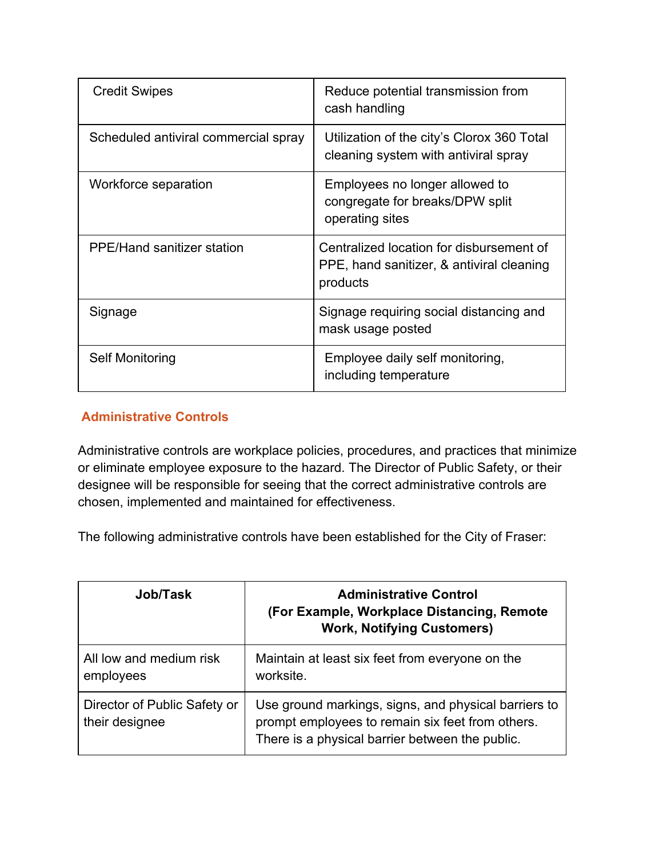| <b>Credit Swipes</b>                 | Reduce potential transmission from<br>cash handling                                               |
|--------------------------------------|---------------------------------------------------------------------------------------------------|
| Scheduled antiviral commercial spray | Utilization of the city's Clorox 360 Total<br>cleaning system with antiviral spray                |
| Workforce separation                 | Employees no longer allowed to<br>congregate for breaks/DPW split<br>operating sites              |
| <b>PPE/Hand sanitizer station</b>    | Centralized location for disbursement of<br>PPE, hand sanitizer, & antiviral cleaning<br>products |
| Signage                              | Signage requiring social distancing and<br>mask usage posted                                      |
| Self Monitoring                      | Employee daily self monitoring,<br>including temperature                                          |

#### **Administrative Controls**

Administrative controls are workplace policies, procedures, and practices that minimize or eliminate employee exposure to the hazard. The Director of Public Safety, or their designee will be responsible for seeing that the correct administrative controls are chosen, implemented and maintained for effectiveness.

The following administrative controls have been established for the City of Fraser:

| Job/Task                                       | <b>Administrative Control</b><br>(For Example, Workplace Distancing, Remote<br><b>Work, Notifying Customers)</b>                                            |
|------------------------------------------------|-------------------------------------------------------------------------------------------------------------------------------------------------------------|
| All low and medium risk<br>employees           | Maintain at least six feet from everyone on the<br>worksite.                                                                                                |
| Director of Public Safety or<br>their designee | Use ground markings, signs, and physical barriers to<br>prompt employees to remain six feet from others.<br>There is a physical barrier between the public. |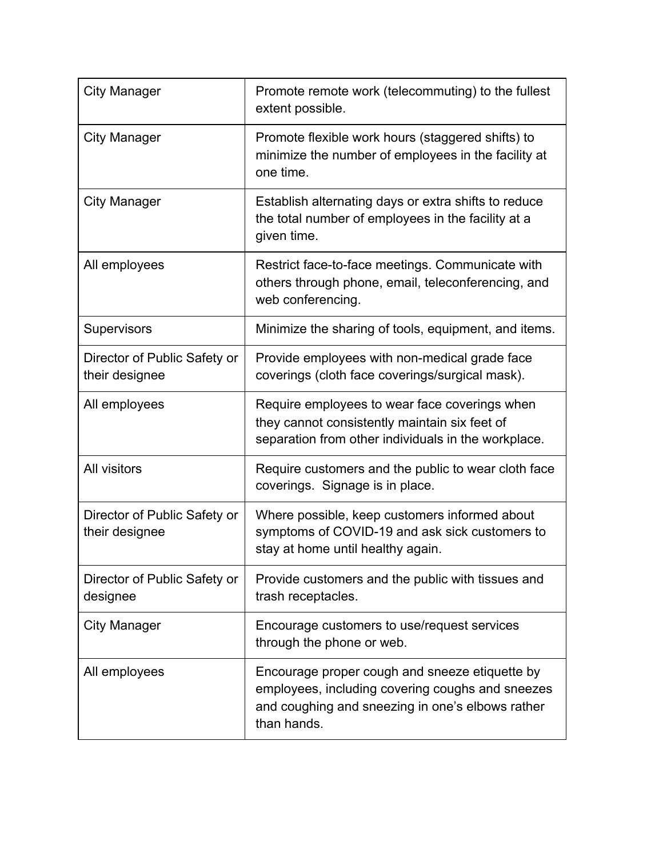| <b>City Manager</b>                            | Promote remote work (telecommuting) to the fullest<br>extent possible.                                                                                                |
|------------------------------------------------|-----------------------------------------------------------------------------------------------------------------------------------------------------------------------|
| City Manager                                   | Promote flexible work hours (staggered shifts) to<br>minimize the number of employees in the facility at<br>one time.                                                 |
| City Manager                                   | Establish alternating days or extra shifts to reduce<br>the total number of employees in the facility at a<br>given time.                                             |
| All employees                                  | Restrict face-to-face meetings. Communicate with<br>others through phone, email, teleconferencing, and<br>web conferencing.                                           |
| <b>Supervisors</b>                             | Minimize the sharing of tools, equipment, and items.                                                                                                                  |
| Director of Public Safety or<br>their designee | Provide employees with non-medical grade face<br>coverings (cloth face coverings/surgical mask).                                                                      |
| All employees                                  | Require employees to wear face coverings when<br>they cannot consistently maintain six feet of<br>separation from other individuals in the workplace.                 |
| All visitors                                   | Require customers and the public to wear cloth face<br>coverings. Signage is in place.                                                                                |
| Director of Public Safety or<br>their designee | Where possible, keep customers informed about<br>symptoms of COVID-19 and ask sick customers to<br>stay at home until healthy again.                                  |
| Director of Public Safety or<br>designee       | Provide customers and the public with tissues and<br>trash receptacles.                                                                                               |
| <b>City Manager</b>                            | Encourage customers to use/request services<br>through the phone or web.                                                                                              |
| All employees                                  | Encourage proper cough and sneeze etiquette by<br>employees, including covering coughs and sneezes<br>and coughing and sneezing in one's elbows rather<br>than hands. |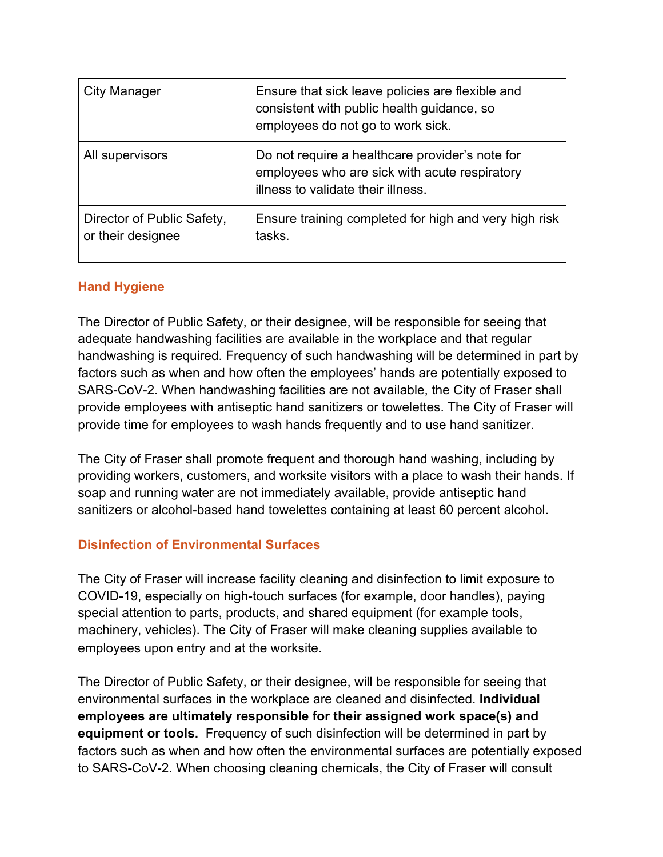| City Manager                                    | Ensure that sick leave policies are flexible and<br>consistent with public health guidance, so<br>employees do not go to work sick.    |
|-------------------------------------------------|----------------------------------------------------------------------------------------------------------------------------------------|
| All supervisors                                 | Do not require a healthcare provider's note for<br>employees who are sick with acute respiratory<br>illness to validate their illness. |
| Director of Public Safety,<br>or their designee | Ensure training completed for high and very high risk<br>tasks.                                                                        |

#### **Hand Hygiene**

The Director of Public Safety, or their designee, will be responsible for seeing that adequate handwashing facilities are available in the workplace and that regular handwashing is required. Frequency of such handwashing will be determined in part by factors such as when and how often the employees' hands are potentially exposed to SARS-CoV-2. When handwashing facilities are not available, the City of Fraser shall provide employees with antiseptic hand sanitizers or towelettes. The City of Fraser will provide time for employees to wash hands frequently and to use hand sanitizer.

The City of Fraser shall promote frequent and thorough hand washing, including by providing workers, customers, and worksite visitors with a place to wash their hands. If soap and running water are not immediately available, provide antiseptic hand sanitizers or alcohol-based hand towelettes containing at least 60 percent alcohol.

#### **Disinfection of Environmental Surfaces**

The City of Fraser will increase facility cleaning and disinfection to limit exposure to COVID-19, especially on high-touch surfaces (for example, door handles), paying special attention to parts, products, and shared equipment (for example tools, machinery, vehicles). The City of Fraser will make cleaning supplies available to employees upon entry and at the worksite.

The Director of Public Safety, or their designee, will be responsible for seeing that environmental surfaces in the workplace are cleaned and disinfected. **Individual employees are ultimately responsible for their assigned work space(s) and equipment or tools.** Frequency of such disinfection will be determined in part by factors such as when and how often the environmental surfaces are potentially exposed to SARS-CoV-2. When choosing cleaning chemicals, the City of Fraser will consult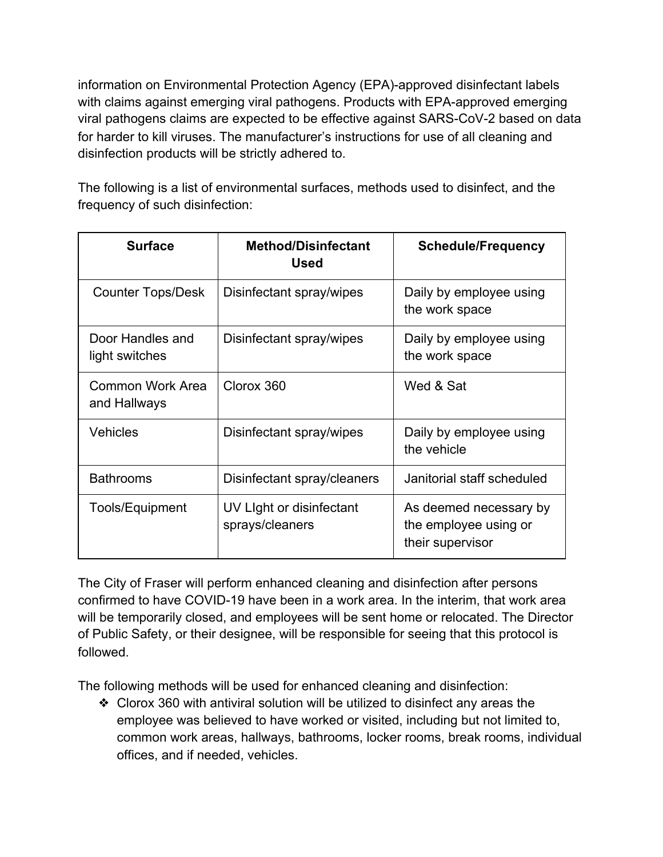information on Environmental Protection Agency (EPA)-approved disinfectant labels with claims against emerging viral pathogens. Products with EPA-approved emerging viral pathogens claims are expected to be effective against SARS-CoV-2 based on data for harder to kill viruses. The manufacturer's instructions for use of all cleaning and disinfection products will be strictly adhered to.

The following is a list of environmental surfaces, methods used to disinfect, and the frequency of such disinfection:

| <b>Surface</b>                     | <b>Method/Disinfectant</b><br>Used          | <b>Schedule/Frequency</b>                                           |
|------------------------------------|---------------------------------------------|---------------------------------------------------------------------|
| <b>Counter Tops/Desk</b>           | Disinfectant spray/wipes                    | Daily by employee using<br>the work space                           |
| Door Handles and<br>light switches | Disinfectant spray/wipes                    | Daily by employee using<br>the work space                           |
| Common Work Area<br>and Hallways   | Clorox 360                                  | Wed & Sat                                                           |
| <b>Vehicles</b>                    | Disinfectant spray/wipes                    | Daily by employee using<br>the vehicle                              |
| <b>Bathrooms</b>                   | Disinfectant spray/cleaners                 | Janitorial staff scheduled                                          |
| Tools/Equipment                    | UV Light or disinfectant<br>sprays/cleaners | As deemed necessary by<br>the employee using or<br>their supervisor |

The City of Fraser will perform enhanced cleaning and disinfection after persons confirmed to have COVID-19 have been in a work area. In the interim, that work area will be temporarily closed, and employees will be sent home or relocated. The Director of Public Safety, or their designee, will be responsible for seeing that this protocol is followed.

The following methods will be used for enhanced cleaning and disinfection:

❖ Clorox 360 with antiviral solution will be utilized to disinfect any areas the employee was believed to have worked or visited, including but not limited to, common work areas, hallways, bathrooms, locker rooms, break rooms, individual offices, and if needed, vehicles.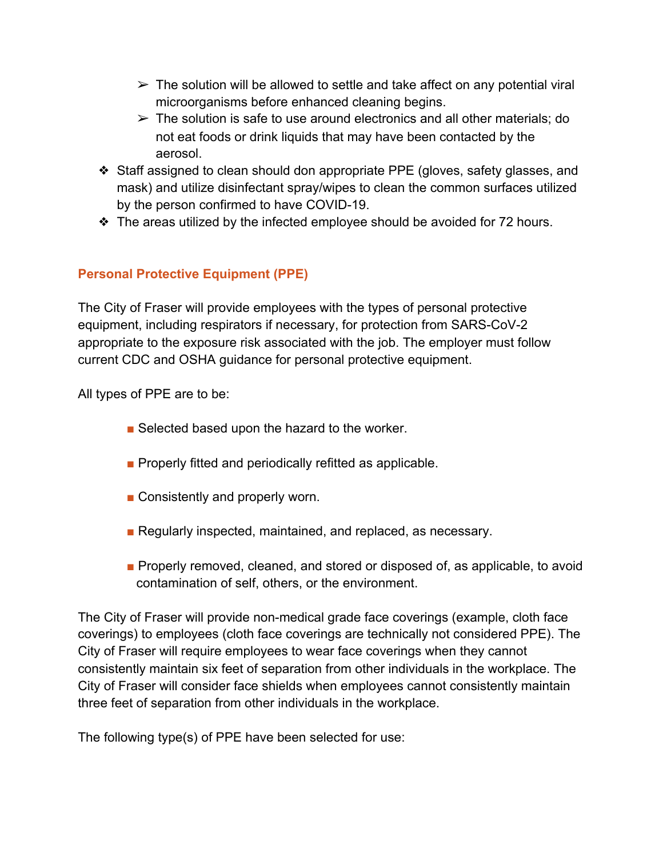- $\triangleright$  The solution will be allowed to settle and take affect on any potential viral microorganisms before enhanced cleaning begins.
- $\triangleright$  The solution is safe to use around electronics and all other materials; do not eat foods or drink liquids that may have been contacted by the aerosol.
- ❖ Staff assigned to clean should don appropriate PPE (gloves, safety glasses, and mask) and utilize disinfectant spray/wipes to clean the common surfaces utilized by the person confirmed to have COVID-19.
- ❖ The areas utilized by the infected employee should be avoided for 72 hours.

# **Personal Protective Equipment (PPE)**

The City of Fraser will provide employees with the types of personal protective equipment, including respirators if necessary, for protection from SARS-CoV-2 appropriate to the exposure risk associated with the job. The employer must follow current CDC and OSHA guidance for personal protective equipment.

All types of PPE are to be:

- Selected based upon the hazard to the worker.
- Properly fitted and periodically refitted as applicable.
- Consistently and properly worn.
- Regularly inspected, maintained, and replaced, as necessary.
- Properly removed, cleaned, and stored or disposed of, as applicable, to avoid contamination of self, others, or the environment.

The City of Fraser will provide non-medical grade face coverings (example, cloth face coverings) to employees (cloth face coverings are technically not considered PPE). The City of Fraser will require employees to wear face coverings when they cannot consistently maintain six feet of separation from other individuals in the workplace. The City of Fraser will consider face shields when employees cannot consistently maintain three feet of separation from other individuals in the workplace.

The following type(s) of PPE have been selected for use: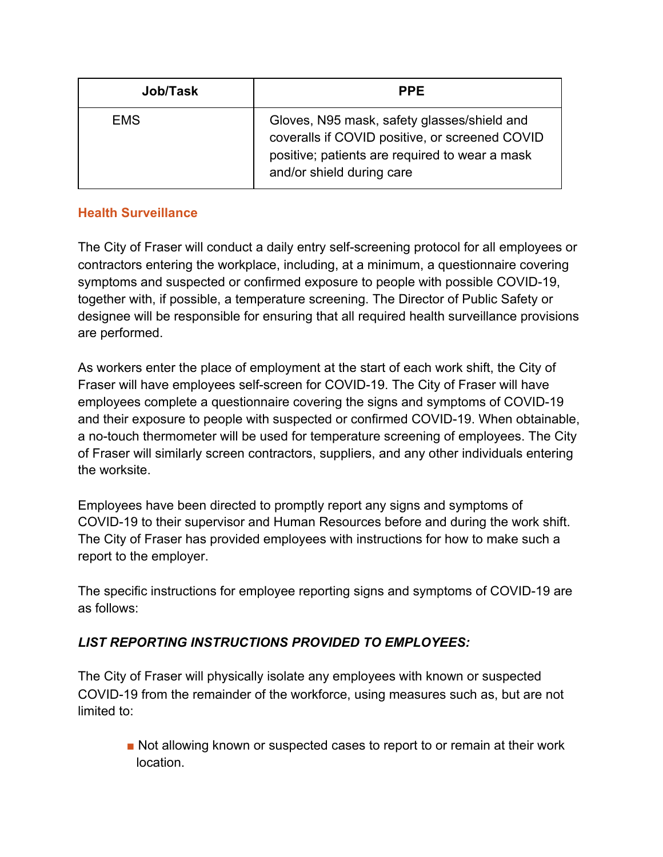| Job/Task   | <b>PPE</b>                                                                                                                                                                   |
|------------|------------------------------------------------------------------------------------------------------------------------------------------------------------------------------|
| <b>EMS</b> | Gloves, N95 mask, safety glasses/shield and<br>coveralls if COVID positive, or screened COVID<br>positive; patients are required to wear a mask<br>and/or shield during care |

# **Health Surveillance**

The City of Fraser will conduct a daily entry self-screening protocol for all employees or contractors entering the workplace, including, at a minimum, a questionnaire covering symptoms and suspected or confirmed exposure to people with possible COVID-19, together with, if possible, a temperature screening. The Director of Public Safety or designee will be responsible for ensuring that all required health surveillance provisions are performed.

As workers enter the place of employment at the start of each work shift, the City of Fraser will have employees self-screen for COVID-19. The City of Fraser will have employees complete a questionnaire covering the signs and symptoms of COVID-19 and their exposure to people with suspected or confirmed COVID-19. When obtainable, a no-touch thermometer will be used for temperature screening of employees. The City of Fraser will similarly screen contractors, suppliers, and any other individuals entering the worksite.

Employees have been directed to promptly report any signs and symptoms of COVID-19 to their supervisor and Human Resources before and during the work shift. The City of Fraser has provided employees with instructions for how to make such a report to the employer.

The specific instructions for employee reporting signs and symptoms of COVID-19 are as follows:

# *LIST REPORTING INSTRUCTIONS PROVIDED TO EMPLOYEES:*

The City of Fraser will physically isolate any employees with known or suspected COVID-19 from the remainder of the workforce, using measures such as, but are not limited to:

> ■ Not allowing known or suspected cases to report to or remain at their work location.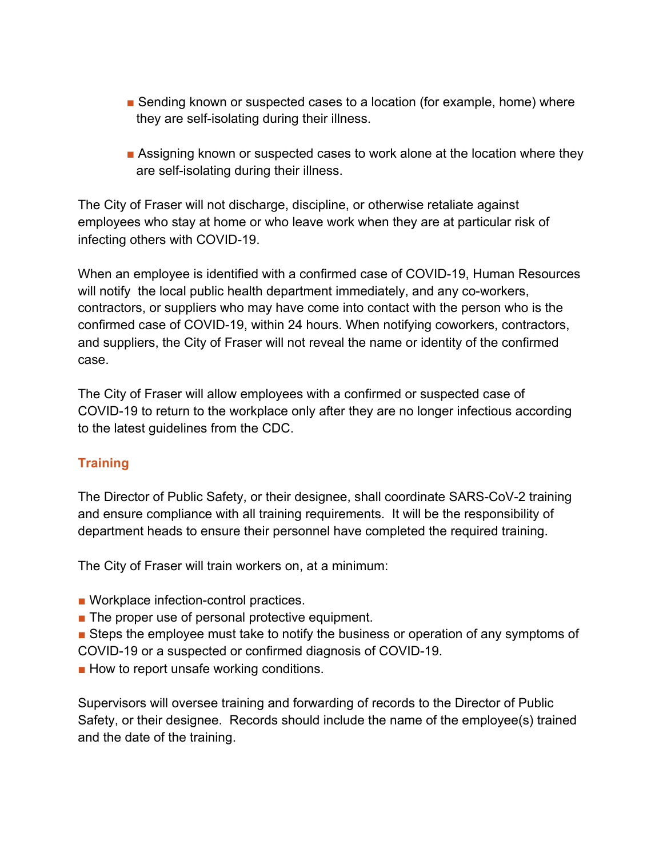- Sending known or suspected cases to a location (for example, home) where they are self-isolating during their illness.
- Assigning known or suspected cases to work alone at the location where they are self-isolating during their illness.

The City of Fraser will not discharge, discipline, or otherwise retaliate against employees who stay at home or who leave work when they are at particular risk of infecting others with COVID-19.

When an employee is identified with a confirmed case of COVID-19, Human Resources will notify the local public health department immediately, and any co-workers, contractors, or suppliers who may have come into contact with the person who is the confirmed case of COVID-19, within 24 hours. When notifying coworkers, contractors, and suppliers, the City of Fraser will not reveal the name or identity of the confirmed case.

The City of Fraser will allow employees with a confirmed or suspected case of COVID-19 to return to the workplace only after they are no longer infectious according to the latest guidelines from the CDC.

# **Training**

The Director of Public Safety, or their designee, shall coordinate SARS-CoV-2 training and ensure compliance with all training requirements. It will be the responsibility of department heads to ensure their personnel have completed the required training.

The City of Fraser will train workers on, at a minimum:

- Workplace infection-control practices.
- The proper use of personal protective equipment.
- Steps the employee must take to notify the business or operation of any symptoms of COVID-19 or a suspected or confirmed diagnosis of COVID-19.
- How to report unsafe working conditions.

Supervisors will oversee training and forwarding of records to the Director of Public Safety, or their designee. Records should include the name of the employee(s) trained and the date of the training.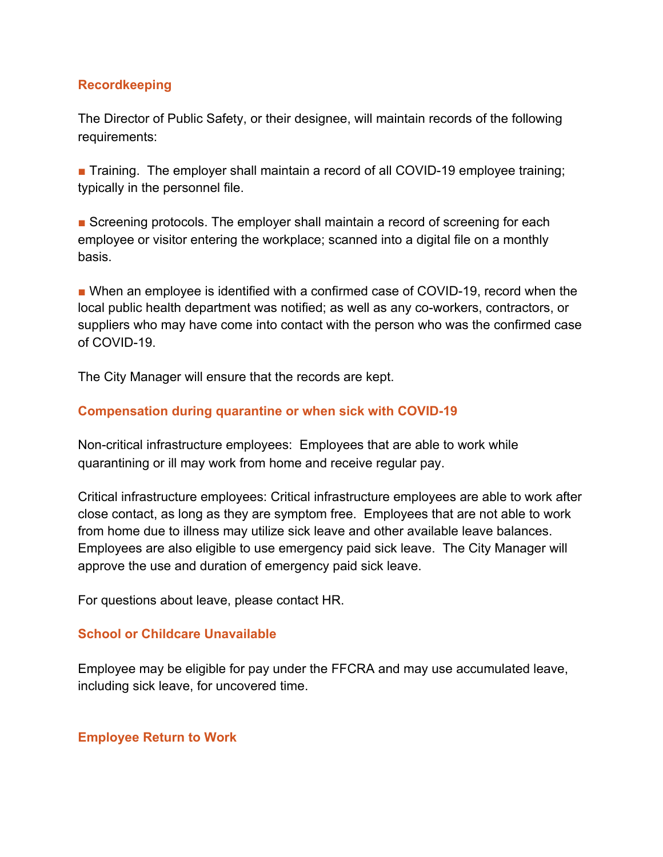#### **Recordkeeping**

The Director of Public Safety, or their designee, will maintain records of the following requirements:

■ Training. The employer shall maintain a record of all COVID-19 employee training; typically in the personnel file.

■ Screening protocols. The employer shall maintain a record of screening for each employee or visitor entering the workplace; scanned into a digital file on a monthly basis.

■ When an employee is identified with a confirmed case of COVID-19, record when the local public health department was notified; as well as any co-workers, contractors, or suppliers who may have come into contact with the person who was the confirmed case of COVID-19.

The City Manager will ensure that the records are kept.

#### **Compensation during quarantine or when sick with COVID-19**

Non-critical infrastructure employees: Employees that are able to work while quarantining or ill may work from home and receive regular pay.

Critical infrastructure employees: Critical infrastructure employees are able to work after close contact, as long as they are symptom free. Employees that are not able to work from home due to illness may utilize sick leave and other available leave balances. Employees are also eligible to use emergency paid sick leave. The City Manager will approve the use and duration of emergency paid sick leave.

For questions about leave, please contact HR.

#### **School or Childcare Unavailable**

Employee may be eligible for pay under the FFCRA and may use accumulated leave, including sick leave, for uncovered time.

#### **Employee Return to Work**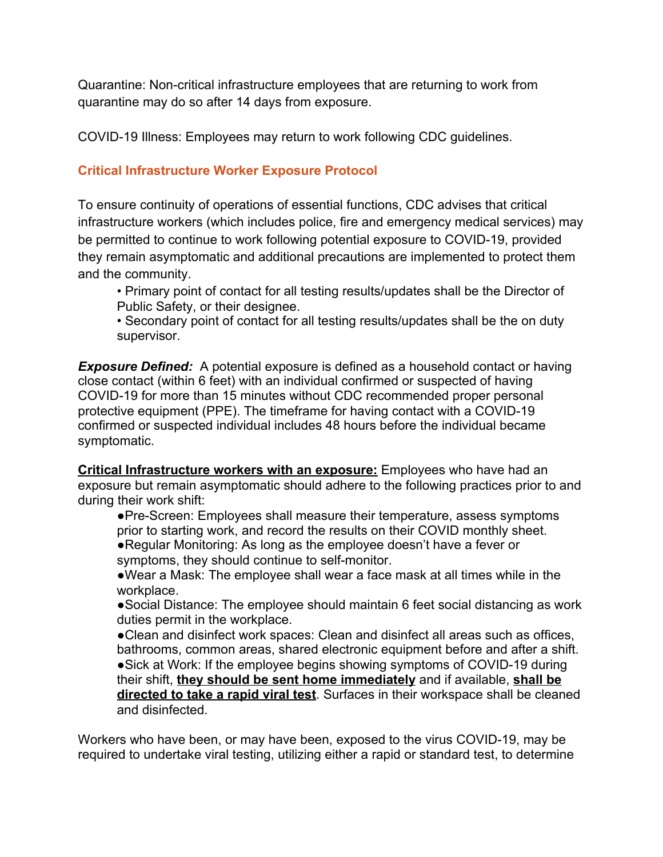Quarantine: Non-critical infrastructure employees that are returning to work from quarantine may do so after 14 days from exposure.

COVID-19 Illness: Employees may return to work following CDC guidelines.

# **Critical Infrastructure Worker Exposure Protocol**

To ensure continuity of operations of essential functions, CDC advises that critical infrastructure workers (which includes police, fire and emergency medical services) may be permitted to continue to work following potential exposure to COVID-19, provided they remain asymptomatic and additional precautions are implemented to protect them and the community.

• Primary point of contact for all testing results/updates shall be the Director of Public Safety, or their designee.

• Secondary point of contact for all testing results/updates shall be the on duty supervisor.

*Exposure Defined:* A potential exposure is defined as a household contact or having close contact (within 6 feet) with an individual confirmed or suspected of having COVID-19 for more than 15 minutes without CDC recommended proper personal protective equipment (PPE). The timeframe for having contact with a COVID-19 confirmed or suspected individual includes 48 hours before the individual became symptomatic.

**Critical Infrastructure workers with an exposure:** Employees who have had an exposure but remain asymptomatic should adhere to the following practices prior to and during their work shift:

●Pre-Screen: Employees shall measure their temperature, assess symptoms prior to starting work, and record the results on their COVID monthly sheet.

●Regular Monitoring: As long as the employee doesn't have a fever or symptoms, they should continue to self-monitor.

●Wear a Mask: The employee shall wear a face mask at all times while in the workplace.

●Social Distance: The employee should maintain 6 feet social distancing as work duties permit in the workplace.

●Clean and disinfect work spaces: Clean and disinfect all areas such as offices, bathrooms, common areas, shared electronic equipment before and after a shift. ●Sick at Work: If the employee begins showing symptoms of COVID-19 during their shift, **they should be sent home immediately** and if available, **shall be directed to take a rapid viral test**. Surfaces in their workspace shall be cleaned and disinfected.

Workers who have been, or may have been, exposed to the virus COVID-19, may be required to undertake viral testing, utilizing either a rapid or standard test, to determine